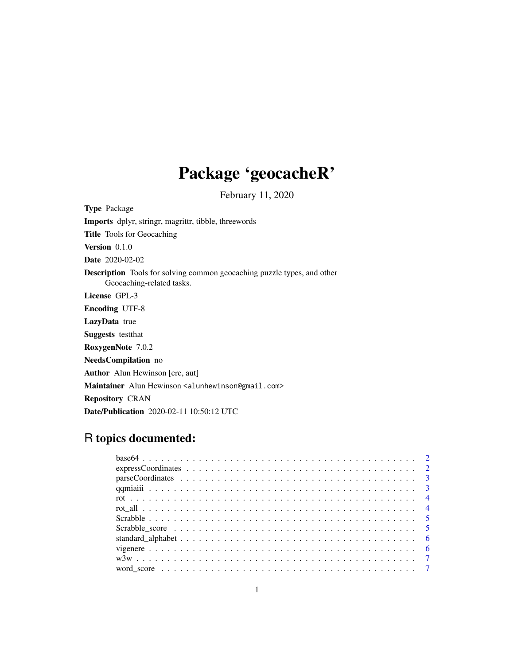# Package 'geocacheR'

February 11, 2020

Type Package Imports dplyr, stringr, magrittr, tibble, threewords Title Tools for Geocaching Version 0.1.0 Date 2020-02-02 Description Tools for solving common geocaching puzzle types, and other Geocaching-related tasks. License GPL-3 Encoding UTF-8 LazyData true Suggests testthat RoxygenNote 7.0.2 NeedsCompilation no Author Alun Hewinson [cre, aut] Maintainer Alun Hewinson <alunhewinson@gmail.com> Repository CRAN Date/Publication 2020-02-11 10:50:12 UTC

# R topics documented: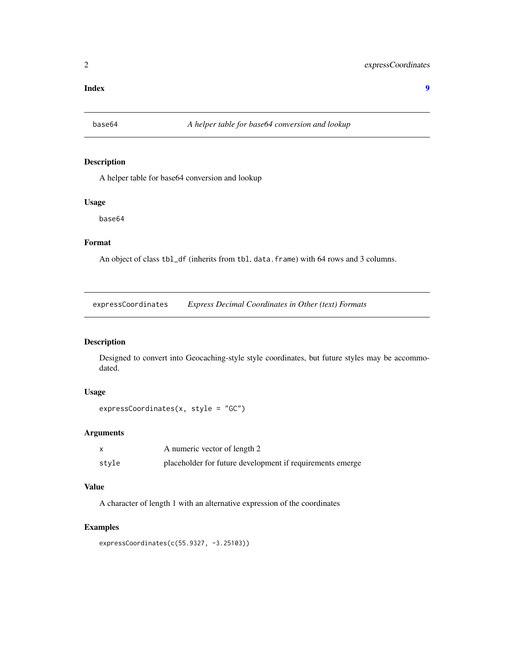#### <span id="page-1-0"></span>**Index** [9](#page-8-0)

#### Description

A helper table for base64 conversion and lookup

#### Usage

base64

#### Format

An object of class tbl\_df (inherits from tbl, data.frame) with 64 rows and 3 columns.

expressCoordinates *Express Decimal Coordinates in Other (text) Formats*

### Description

Designed to convert into Geocaching-style style coordinates, but future styles may be accommodated.

#### Usage

```
expressCoordinates(x, style = "GC")
```
#### Arguments

|       | A numeric vector of length 2                              |
|-------|-----------------------------------------------------------|
| style | placeholder for future development if requirements emerge |

#### Value

A character of length 1 with an alternative expression of the coordinates

#### Examples

expressCoordinates(c(55.9327, -3.25103))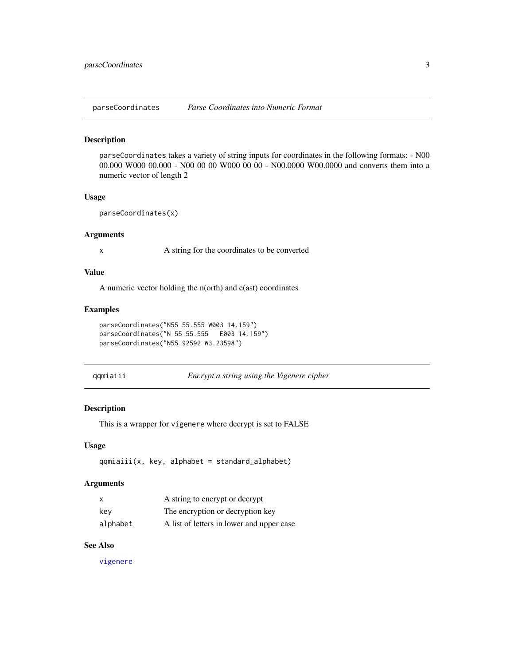<span id="page-2-0"></span>

parseCoordinates takes a variety of string inputs for coordinates in the following formats: - N00 00.000 W000 00.000 - N00 00 00 W000 00 00 - N00.0000 W00.0000 and converts them into a numeric vector of length 2

#### Usage

```
parseCoordinates(x)
```
#### Arguments

x A string for the coordinates to be converted

#### Value

A numeric vector holding the n(orth) and e(ast) coordinates

#### Examples

```
parseCoordinates("N55 55.555 W003 14.159")
parseCoordinates("N 55 55.555 E003 14.159")
parseCoordinates("N55.92592 W3.23598")
```
qqmiaiii *Encrypt a string using the Vigenere cipher*

#### Description

This is a wrapper for vigenere where decrypt is set to FALSE

#### Usage

qqmiaiii(x, key, alphabet = standard\_alphabet)

#### Arguments

|          | A string to encrypt or decrypt            |
|----------|-------------------------------------------|
| kev      | The encryption or decryption key          |
| alphabet | A list of letters in lower and upper case |

#### See Also

[vigenere](#page-5-1)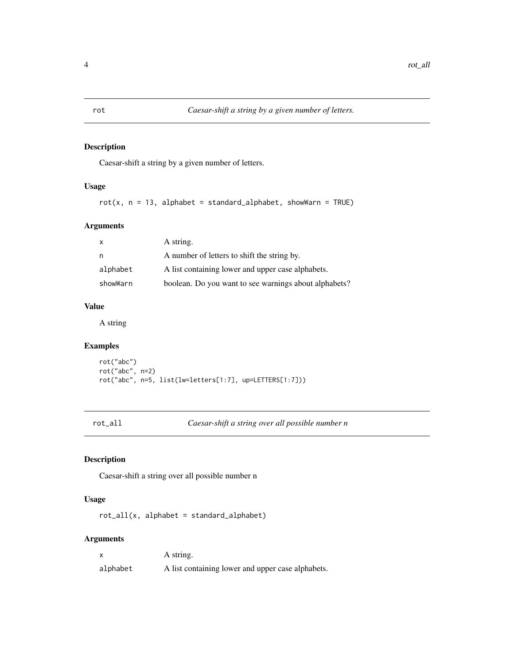Caesar-shift a string by a given number of letters.

#### Usage

 $rot(x, n = 13, alphabet = standard_alphabet, showWarn = TRUE)$ 

#### Arguments

| X        | A string.                                             |
|----------|-------------------------------------------------------|
| n        | A number of letters to shift the string by.           |
| alphabet | A list containing lower and upper case alphabets.     |
| showWarn | boolean. Do you want to see warnings about alphabets? |

#### Value

A string

### Examples

```
rot("abc")
rot("abc", n=2)
rot("abc", n=5, list(lw=letters[1:7], up=LETTERS[1:7]))
```
rot\_all *Caesar-shift a string over all possible number n*

#### Description

Caesar-shift a string over all possible number n

#### Usage

rot\_all(x, alphabet = standard\_alphabet)

#### Arguments

|          | A string.                                         |
|----------|---------------------------------------------------|
| alphabet | A list containing lower and upper case alphabets. |

<span id="page-3-0"></span>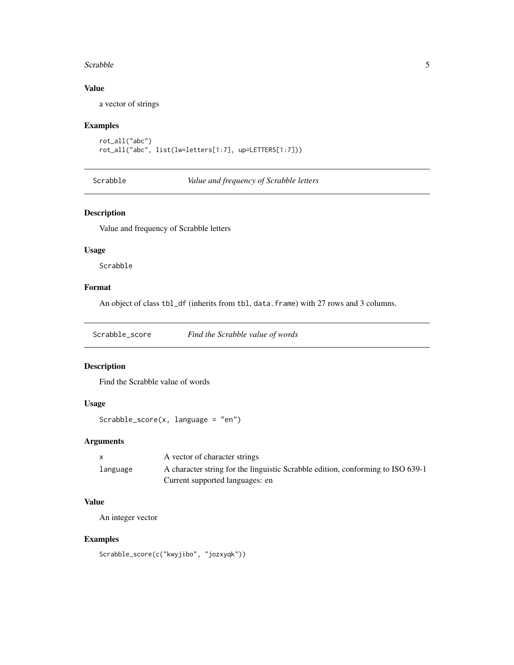#### <span id="page-4-0"></span>Scrabble 5

#### Value

a vector of strings

#### Examples

```
rot_all("abc")
rot_all("abc", list(lw=letters[1:7], up=LETTERS[1:7]))
```
Scrabble *Value and frequency of Scrabble letters*

#### Description

Value and frequency of Scrabble letters

#### Usage

Scrabble

#### Format

An object of class tbl\_df (inherits from tbl, data.frame) with 27 rows and 3 columns.

Scrabble\_score *Find the Scrabble value of words*

#### Description

Find the Scrabble value of words

#### Usage

```
Scrabble_score(x, \text{ language} = "en")
```
#### Arguments

|          | A vector of character strings                                                   |
|----------|---------------------------------------------------------------------------------|
| language | A character string for the linguistic Scrabble edition, conforming to ISO 639-1 |
|          | Current supported languages: en                                                 |

#### Value

An integer vector

#### Examples

Scrabble\_score(c("kwyjibo", "jozxyqk"))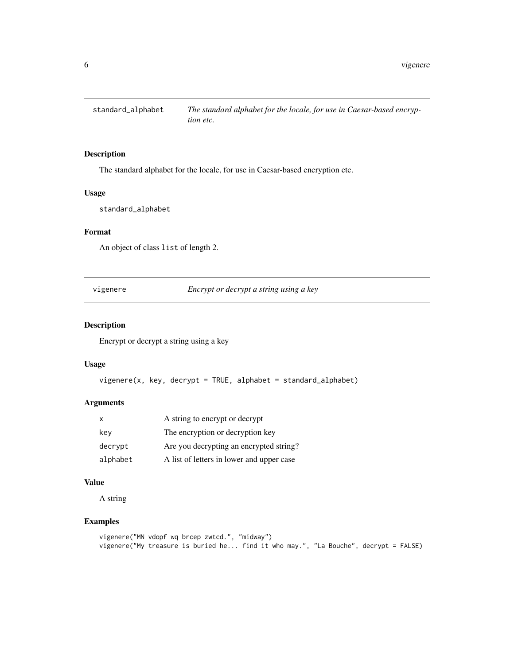<span id="page-5-0"></span>

The standard alphabet for the locale, for use in Caesar-based encryption etc.

#### Usage

standard\_alphabet

### Format

An object of class list of length 2.

<span id="page-5-1"></span>vigenere *Encrypt or decrypt a string using a key*

#### Description

Encrypt or decrypt a string using a key

#### Usage

```
vigenere(x, key, decrypt = TRUE, alphabet = standard_alphabet)
```
#### Arguments

| X        | A string to encrypt or decrypt            |
|----------|-------------------------------------------|
| kev      | The encryption or decryption key          |
| decrypt  | Are you decrypting an encrypted string?   |
| alphabet | A list of letters in lower and upper case |

#### Value

A string

#### Examples

```
vigenere("MN vdopf wq brcep zwtcd.", "midway")
vigenere("My treasure is buried he... find it who may.", "La Bouche", decrypt = FALSE)
```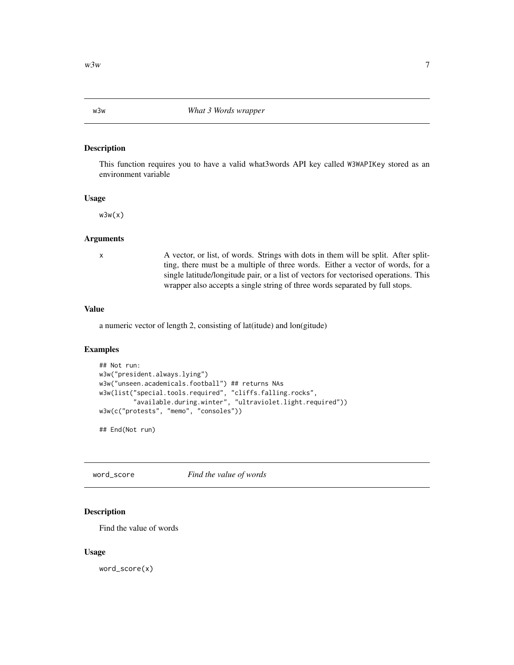<span id="page-6-0"></span>

This function requires you to have a valid what3words API key called W3WAPIKey stored as an environment variable

#### Usage

 $w3w(x)$ 

#### Arguments

x A vector, or list, of words. Strings with dots in them will be split. After splitting, there must be a multiple of three words. Either a vector of words, for a single latitude/longitude pair, or a list of vectors for vectorised operations. This wrapper also accepts a single string of three words separated by full stops.

#### Value

a numeric vector of length 2, consisting of lat(itude) and lon(gitude)

#### Examples

```
## Not run:
w3w("president.always.lying")
w3w("unseen.academicals.football") ## returns NAs
w3w(list("special.tools.required", "cliffs.falling.rocks",
         "available.during.winter", "ultraviolet.light.required"))
w3w(c("protests", "memo", "consoles"))
```
## End(Not run)

word\_score *Find the value of words*

#### Description

Find the value of words

#### Usage

word\_score(x)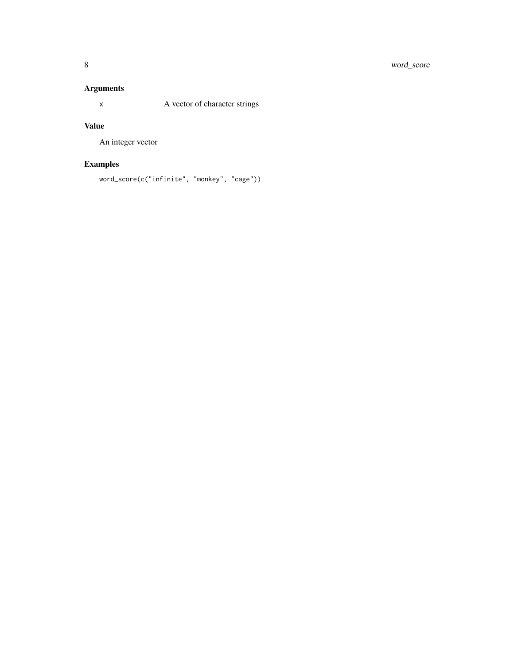## Arguments

x A vector of character strings

### Value

An integer vector

## Examples

word\_score(c("infinite", "monkey", "cage"))